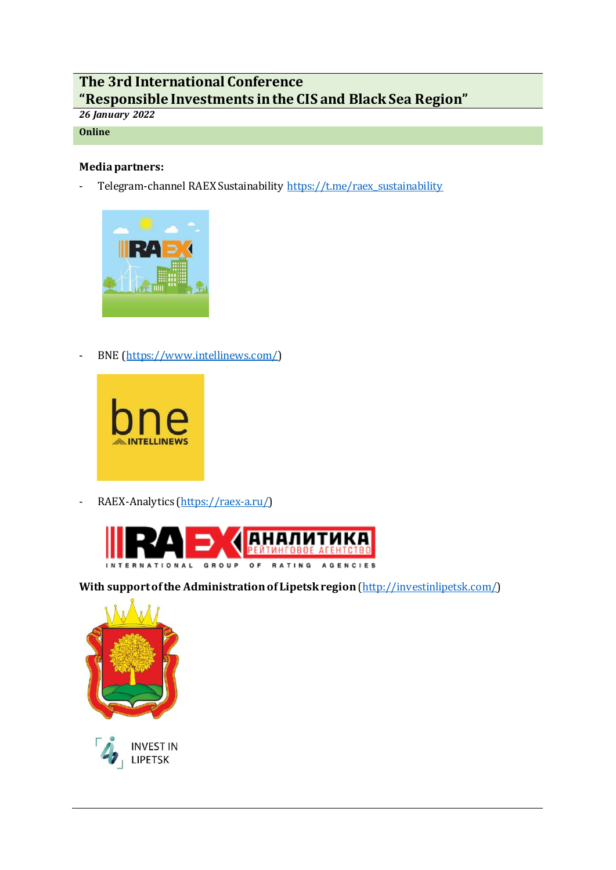# **The 3rd International Conference "Responsible Investments in the CIS and Black Sea Region"**

## *26 January 2022*

## **Online**

## **Media partners:**

- Telegram-channel RAEX Sustainability [https://t.me/raex\\_sustainability](https://t.me/raex_sustainability)



- BNE [\(https://www.intellinews.com/\)](https://www.intellinews.com/)



- RAEX-Analytics [\(https://raex-a.ru/\)](https://raex-a.ru/)



With support of the Administration of Lipetsk region [\(http://investinlipetsk.com/\)](http://investinlipetsk.com/)